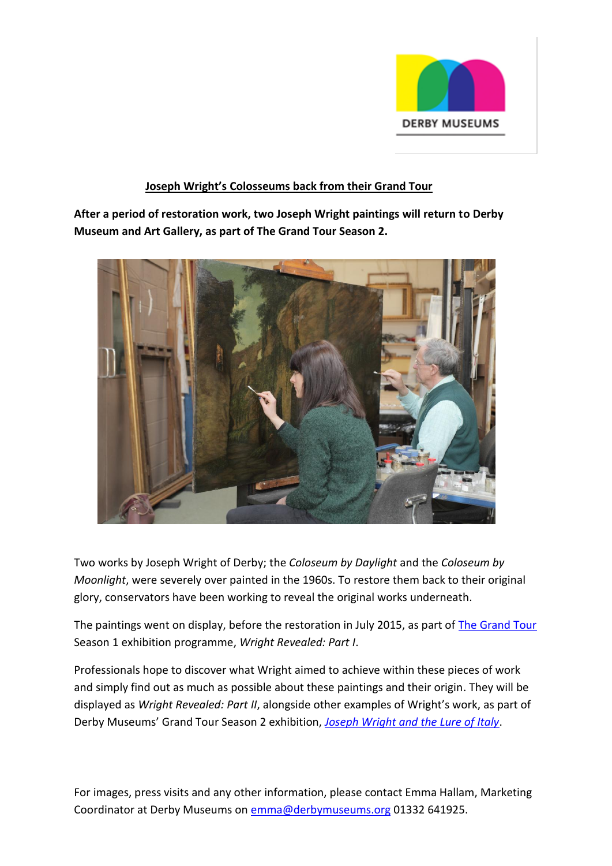

### **Joseph Wright's Colosseums back from their Grand Tour**

**After a period of restoration work, two Joseph Wright paintings will return to Derby Museum and Art Gallery, as part of The Grand Tour Season 2.** 



Two works by Joseph Wright of Derby; the *Coloseum by Daylight* and the *Coloseum by Moonlight*, were severely over painted in the 1960s. To restore them back to their original glory, conservators have been working to reveal the original works underneath.

The paintings went on display, before the restoration in July 2015, as part of [The Grand Tour](http://www.thegrandtour.uk.com/) Season 1 exhibition programme, *Wright Revealed: Part I*.

Professionals hope to discover what Wright aimed to achieve within these pieces of work and simply find out as much as possible about these paintings and their origin. They will be displayed as *Wright Revealed: Part II*, alongside other examples of Wright's work, as part of Derby Museums' Grand Tour Season 2 exhibition, *[Joseph Wright and the Lure of Italy](http://www.derbymuseums.org/events/lureofitaly/)*.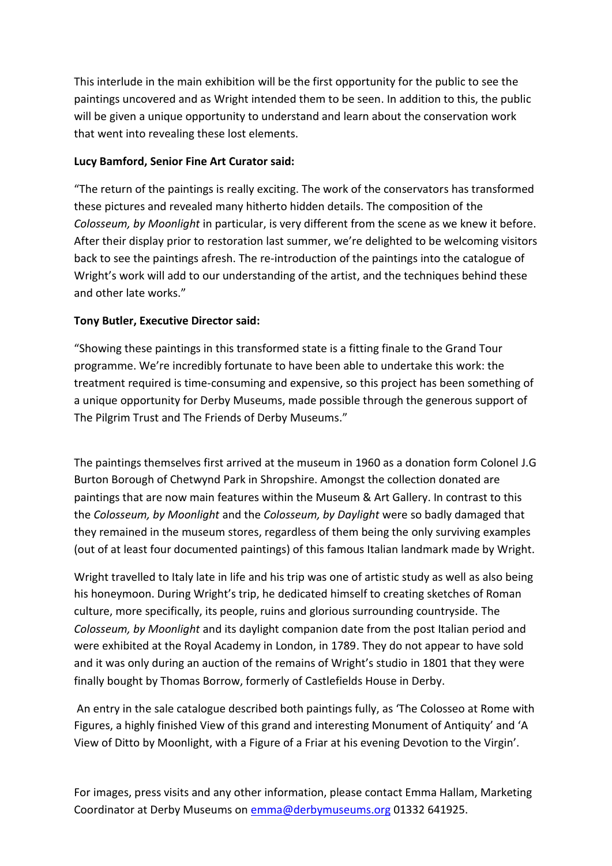This interlude in the main exhibition will be the first opportunity for the public to see the paintings uncovered and as Wright intended them to be seen. In addition to this, the public will be given a unique opportunity to understand and learn about the conservation work that went into revealing these lost elements.

# **Lucy Bamford, Senior Fine Art Curator said:**

"The return of the paintings is really exciting. The work of the conservators has transformed these pictures and revealed many hitherto hidden details. The composition of the *Colosseum, by Moonlight* in particular, is very different from the scene as we knew it before. After their display prior to restoration last summer, we're delighted to be welcoming visitors back to see the paintings afresh. The re-introduction of the paintings into the catalogue of Wright's work will add to our understanding of the artist, and the techniques behind these and other late works."

# **Tony Butler, Executive Director said:**

"Showing these paintings in this transformed state is a fitting finale to the Grand Tour programme. We're incredibly fortunate to have been able to undertake this work: the treatment required is time-consuming and expensive, so this project has been something of a unique opportunity for Derby Museums, made possible through the generous support of The Pilgrim Trust and The Friends of Derby Museums."

The paintings themselves first arrived at the museum in 1960 as a donation form Colonel J.G Burton Borough of Chetwynd Park in Shropshire. Amongst the collection donated are paintings that are now main features within the Museum & Art Gallery. In contrast to this the *Colosseum, by Moonlight* and the *Colosseum, by Daylight* were so badly damaged that they remained in the museum stores, regardless of them being the only surviving examples (out of at least four documented paintings) of this famous Italian landmark made by Wright.

Wright travelled to Italy late in life and his trip was one of artistic study as well as also being his honeymoon. During Wright's trip, he dedicated himself to creating sketches of Roman culture, more specifically, its people, ruins and glorious surrounding countryside. The *Colosseum, by Moonlight* and its daylight companion date from the post Italian period and were exhibited at the Royal Academy in London, in 1789. They do not appear to have sold and it was only during an auction of the remains of Wright's studio in 1801 that they were finally bought by Thomas Borrow, formerly of Castlefields House in Derby.

An entry in the sale catalogue described both paintings fully, as 'The Colosseo at Rome with Figures, a highly finished View of this grand and interesting Monument of Antiquity' and 'A View of Ditto by Moonlight, with a Figure of a Friar at his evening Devotion to the Virgin'.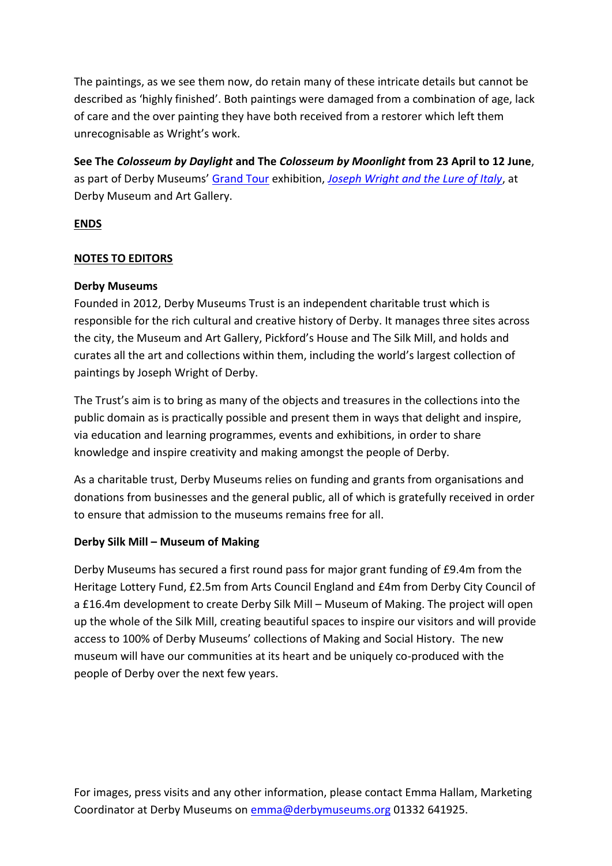The paintings, as we see them now, do retain many of these intricate details but cannot be described as 'highly finished'. Both paintings were damaged from a combination of age, lack of care and the over painting they have both received from a restorer which left them unrecognisable as Wright's work.

**See The** *Colosseum by Daylight* **and The** *Colosseum by Moonlight* **from 23 April to 12 June**, as part of Derby Museums' [Grand Tour](http://www.thegrandtour.uk.com/) exhibition, *[Joseph Wright and the Lure of Italy](http://www.derbymuseums.org/events/lureofitaly/#.VxTkl9JdU59)*, at Derby Museum and Art Gallery.

### **ENDS**

### **NOTES TO EDITORS**

#### **Derby Museums**

Founded in 2012, Derby Museums Trust is an independent charitable trust which is responsible for the rich cultural and creative history of Derby. It manages three sites across the city, the Museum and Art Gallery, Pickford's House and The Silk Mill, and holds and curates all the art and collections within them, including the world's largest collection of paintings by Joseph Wright of Derby.

The Trust's aim is to bring as many of the objects and treasures in the collections into the public domain as is practically possible and present them in ways that delight and inspire, via education and learning programmes, events and exhibitions, in order to share knowledge and inspire creativity and making amongst the people of Derby.

As a charitable trust, Derby Museums relies on funding and grants from organisations and donations from businesses and the general public, all of which is gratefully received in order to ensure that admission to the museums remains free for all.

### **Derby Silk Mill – Museum of Making**

Derby Museums has secured a first round pass for major grant funding of £9.4m from the Heritage Lottery Fund, £2.5m from Arts Council England and £4m from Derby City Council of a £16.4m development to create Derby Silk Mill – Museum of Making. The project will open up the whole of the Silk Mill, creating beautiful spaces to inspire our visitors and will provide access to 100% of Derby Museums' collections of Making and Social History. The new museum will have our communities at its heart and be uniquely co-produced with the people of Derby over the next few years.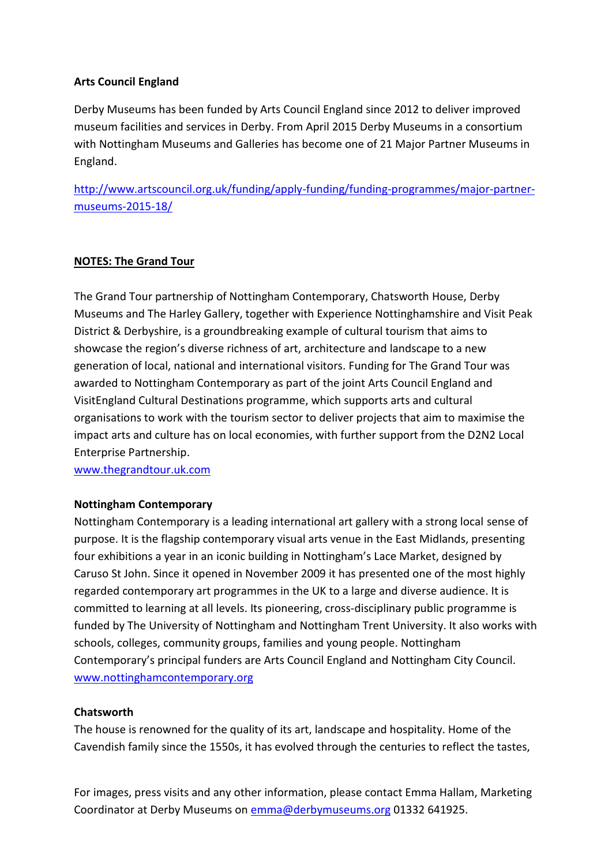# **Arts Council England**

Derby Museums has been funded by Arts Council England since 2012 to deliver improved museum facilities and services in Derby. From April 2015 Derby Museums in a consortium with Nottingham Museums and Galleries has become one of 21 Major Partner Museums in England.

[http://www.artscouncil.org.uk/funding/apply-funding/funding-programmes/major-partner](http://www.artscouncil.org.uk/funding/apply-funding/funding-programmes/major-partner-museums-2015-18/)[museums-2015-18/](http://www.artscouncil.org.uk/funding/apply-funding/funding-programmes/major-partner-museums-2015-18/)

### **NOTES: The Grand Tour**

The Grand Tour partnership of Nottingham Contemporary, Chatsworth House, Derby Museums and The Harley Gallery, together with Experience Nottinghamshire and Visit Peak District & Derbyshire, is a groundbreaking example of cultural tourism that aims to showcase the region's diverse richness of art, architecture and landscape to a new generation of local, national and international visitors. Funding for The Grand Tour was awarded to Nottingham Contemporary as part of the joint Arts Council England and VisitEngland Cultural Destinations programme, which supports arts and cultural organisations to work with the tourism sector to deliver projects that aim to maximise the impact arts and culture has on local economies, with further support from the D2N2 Local Enterprise Partnership.

[www.thegrandtour.uk.com](http://www.thegrandtour.uk.com/)

### **Nottingham Contemporary**

Nottingham Contemporary is a leading international art gallery with a strong local sense of purpose. It is the flagship contemporary visual arts venue in the East Midlands, presenting four exhibitions a year in an iconic building in Nottingham's Lace Market, designed by Caruso St John. Since it opened in November 2009 it has presented one of the most highly regarded contemporary art programmes in the UK to a large and diverse audience. It is committed to learning at all levels. Its pioneering, cross-disciplinary public programme is funded by The University of Nottingham and Nottingham Trent University. It also works with schools, colleges, community groups, families and young people. Nottingham Contemporary's principal funders are Arts Council England and Nottingham City Council. [www.nottinghamcontemporary.org](http://www.nottinghamcontemporary.org/)

### **Chatsworth**

The house is renowned for the quality of its art, landscape and hospitality. Home of the Cavendish family since the 1550s, it has evolved through the centuries to reflect the tastes,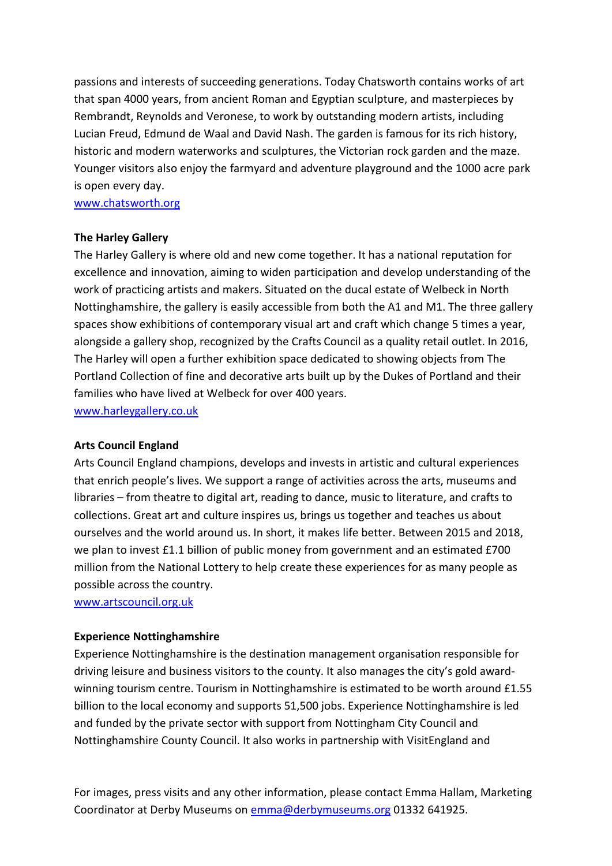passions and interests of succeeding generations. Today Chatsworth contains works of art that span 4000 years, from ancient Roman and Egyptian sculpture, and masterpieces by Rembrandt, Reynolds and Veronese, to work by outstanding modern artists, including Lucian Freud, Edmund de Waal and David Nash. The garden is famous for its rich history, historic and modern waterworks and sculptures, the Victorian rock garden and the maze. Younger visitors also enjoy the farmyard and adventure playground and the 1000 acre park is open every day.

[www.chatsworth.org](http://www.chatsworth.org/)

#### **The Harley Gallery**

The Harley Gallery is where old and new come together. It has a national reputation for excellence and innovation, aiming to widen participation and develop understanding of the work of practicing artists and makers. Situated on the ducal estate of Welbeck in North Nottinghamshire, the gallery is easily accessible from both the A1 and M1. The three gallery spaces show exhibitions of contemporary visual art and craft which change 5 times a year, alongside a gallery shop, recognized by the Crafts Council as a quality retail outlet. In 2016, The Harley will open a further exhibition space dedicated to showing objects from The Portland Collection of fine and decorative arts built up by the Dukes of Portland and their families who have lived at Welbeck for over 400 years.

[www.harleygallery.co.uk](http://www.harleygallery.co.uk/)

#### **Arts Council England**

Arts Council England champions, develops and invests in artistic and cultural experiences that enrich people's lives. We support a range of activities across the arts, museums and libraries – from theatre to digital art, reading to dance, music to literature, and crafts to collections. Great art and culture inspires us, brings us together and teaches us about ourselves and the world around us. In short, it makes life better. Between 2015 and 2018, we plan to invest £1.1 billion of public money from government and an estimated £700 million from the National Lottery to help create these experiences for as many people as possible across the country.

[www.artscouncil.org.uk](http://www.artscouncil.org.uk/)

#### **Experience Nottinghamshire**

Experience Nottinghamshire is the destination management organisation responsible for driving leisure and business visitors to the county. It also manages the city's gold awardwinning tourism centre. Tourism in Nottinghamshire is estimated to be worth around £1.55 billion to the local economy and supports 51,500 jobs. Experience Nottinghamshire is led and funded by the private sector with support from Nottingham City Council and Nottinghamshire County Council. It also works in partnership with VisitEngland and